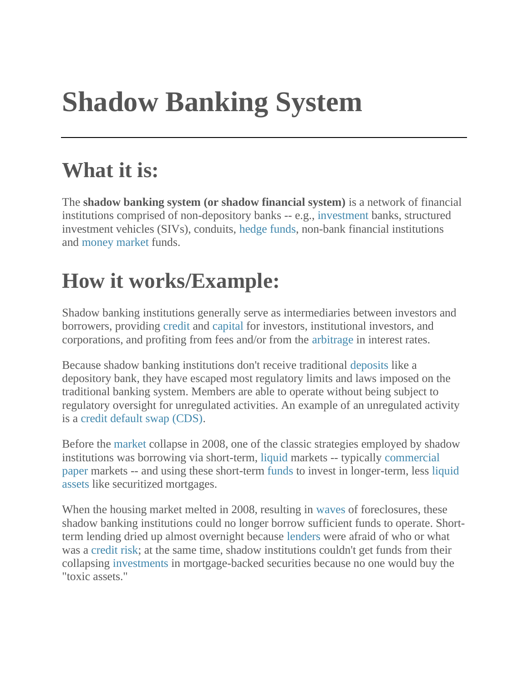## **Shadow Banking System**

## **What it is:**

The **shadow banking system (or shadow financial system)** is a network of financial institutions comprised of non-depository banks -- e.g., [investment](https://investinganswers.com/dictionary/i/investment) banks, structured investment vehicles (SIVs), conduits, [hedge](https://investinganswers.com/dictionary/h/hedge) [funds,](https://investinganswers.com/dictionary/f/fund) non-bank financial institutions and [money](https://investinganswers.com/dictionary/m/money) [market](https://investinganswers.com/dictionary/m/market) funds.

## **How it works/Example:**

Shadow banking institutions generally serve as intermediaries between investors and borrowers, providing [credit](https://investinganswers.com/dictionary/c/credit) and [capital](https://investinganswers.com/dictionary/c/capital) for investors, institutional investors, and corporations, and profiting from fees and/or from the [arbitrage](https://investinganswers.com/dictionary/a/arbitrage) in interest rates.

Because shadow banking institutions don't receive traditional [deposits](https://investinganswers.com/dictionary/d/deposit-unpublish) like a depository bank, they have escaped most regulatory limits and laws imposed on the traditional banking system. Members are able to operate without being subject to regulatory oversight for unregulated activities. An example of an unregulated activity is a [credit default swap \(CDS\).](https://investinganswers.com/dictionary/c/credit-default-swap-cds)

Before the [market](https://investinganswers.com/dictionary/m/market) collapse in 2008, one of the classic strategies employed by shadow institutions was borrowing via short-term, [liquid](https://investinganswers.com/dictionary/l/liquid) markets -- typically [commercial](https://investinganswers.com/dictionary/c/commercial-paper)  [paper](https://investinganswers.com/dictionary/c/commercial-paper) markets -- and using these short-term [funds](https://investinganswers.com/dictionary/f/fund) to invest in longer-term, less [liquid](https://investinganswers.com/dictionary/l/liquid-asset)  [assets](https://investinganswers.com/dictionary/l/liquid-asset) like securitized mortgages.

When the housing market melted in 2008, resulting in [waves](https://investinganswers.com/dictionary/w/wave) of foreclosures, these shadow banking institutions could no longer borrow sufficient funds to operate. Shortterm lending dried up almost overnight because [lenders](https://investinganswers.com/dictionary/l/lender) were afraid of who or what was a [credit risk;](https://investinganswers.com/dictionary/c/credit-risk) at the same time, shadow institutions couldn't get funds from their collapsing [investments](https://investinganswers.com/dictionary/i/investment) in mortgage-backed securities because no one would buy the "toxic assets."